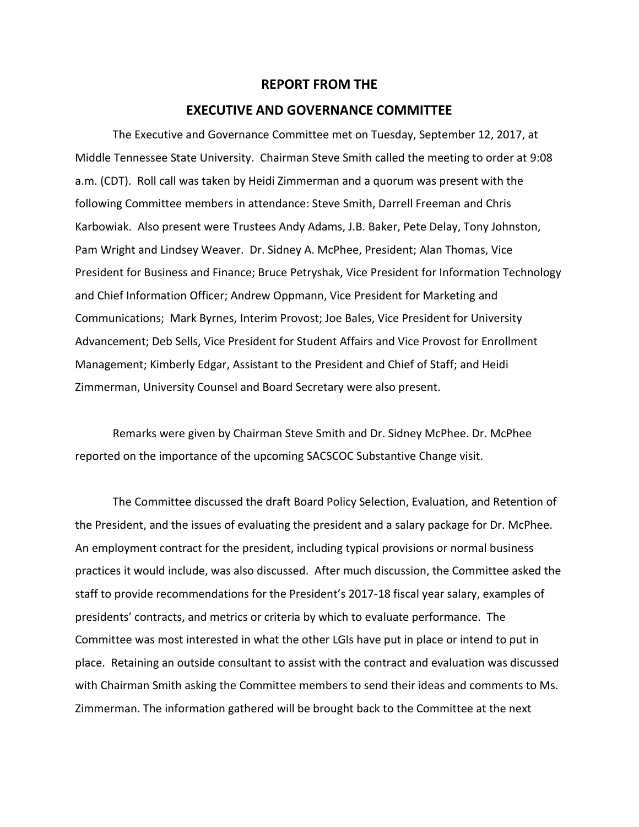## **REPORT FROM THE**

## **EXECUTIVE AND GOVERNANCE COMMITTEE**

The Executive and Governance Committee met on Tuesday, September 12, 2017, at Middle Tennessee State University. Chairman Steve Smith called the meeting to order at 9:08 a.m. (CDT). Roll call was taken by Heidi Zimmerman and a quorum was present with the following Committee members in attendance: Steve Smith, Darrell Freeman and Chris Karbowiak. Also present were Trustees Andy Adams, J.B. Baker, Pete Delay, Tony Johnston, Pam Wright and Lindsey Weaver. Dr. Sidney A. McPhee, President; Alan Thomas, Vice President for Business and Finance; Bruce Petryshak, Vice President for Information Technology and Chief Information Officer; Andrew Oppmann, Vice President for Marketing and Communications; Mark Byrnes, Interim Provost; Joe Bales, Vice President for University Advancement; Deb Sells, Vice President for Student Affairs and Vice Provost for Enrollment Management; Kimberly Edgar, Assistant to the President and Chief of Staff; and Heidi Zimmerman, University Counsel and Board Secretary were also present.

Remarks were given by Chairman Steve Smith and Dr. Sidney McPhee. Dr. McPhee reported on the importance of the upcoming SACSCOC Substantive Change visit.

The Committee discussed the draft Board Policy Selection, Evaluation, and Retention of the President, and the issues of evaluating the president and a salary package for Dr. McPhee. An employment contract for the president, including typical provisions or normal business practices it would include, was also discussed. After much discussion, the Committee asked the staff to provide recommendations for the President's 2017-18 fiscal year salary, examples of presidents' contracts, and metrics or criteria by which to evaluate performance. The Committee was most interested in what the other LGIs have put in place or intend to put in place. Retaining an outside consultant to assist with the contract and evaluation was discussed with Chairman Smith asking the Committee members to send their ideas and comments to Ms. Zimmerman. The information gathered will be brought back to the Committee at the next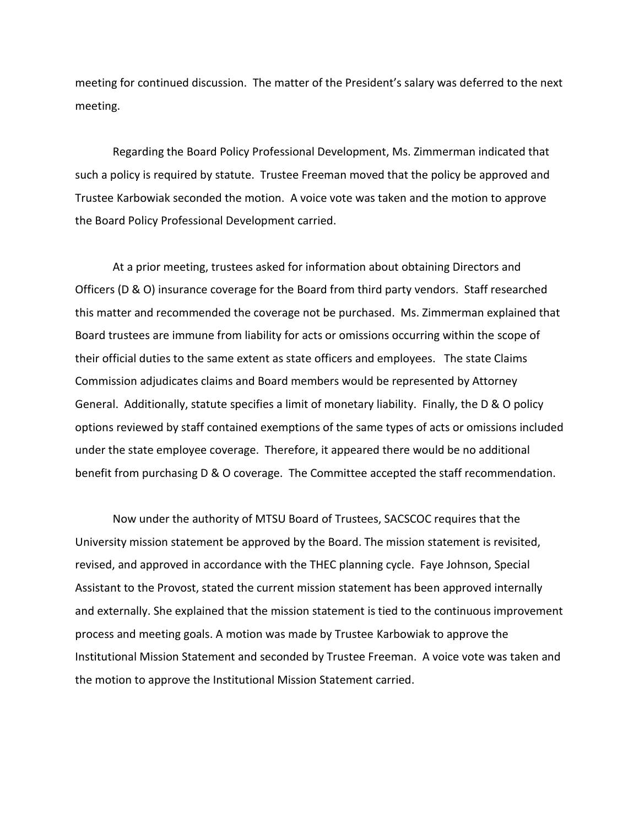meeting for continued discussion. The matter of the President's salary was deferred to the next meeting.

Regarding the Board Policy Professional Development, Ms. Zimmerman indicated that such a policy is required by statute. Trustee Freeman moved that the policy be approved and Trustee Karbowiak seconded the motion. A voice vote was taken and the motion to approve the Board Policy Professional Development carried.

At a prior meeting, trustees asked for information about obtaining Directors and Officers (D & O) insurance coverage for the Board from third party vendors. Staff researched this matter and recommended the coverage not be purchased. Ms. Zimmerman explained that Board trustees are immune from liability for acts or omissions occurring within the scope of their official duties to the same extent as state officers and employees. The state Claims Commission adjudicates claims and Board members would be represented by Attorney General. Additionally, statute specifies a limit of monetary liability. Finally, the D & O policy options reviewed by staff contained exemptions of the same types of acts or omissions included under the state employee coverage. Therefore, it appeared there would be no additional benefit from purchasing D & O coverage. The Committee accepted the staff recommendation.

Now under the authority of MTSU Board of Trustees, SACSCOC requires that the University mission statement be approved by the Board. The mission statement is revisited, revised, and approved in accordance with the THEC planning cycle. Faye Johnson, Special Assistant to the Provost, stated the current mission statement has been approved internally and externally. She explained that the mission statement is tied to the continuous improvement process and meeting goals. A motion was made by Trustee Karbowiak to approve the Institutional Mission Statement and seconded by Trustee Freeman. A voice vote was taken and the motion to approve the Institutional Mission Statement carried.